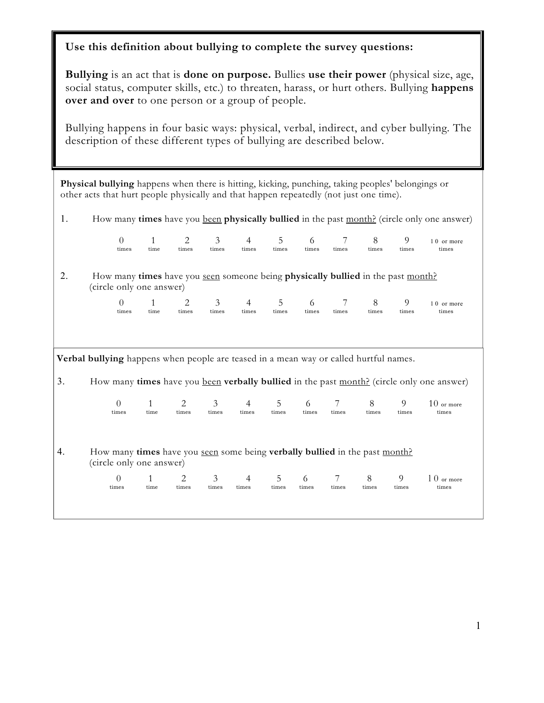## **Use this definition about bullying to complete the survey questions:**

**Bullying** is an act that is **done on purpose.** Bullies **use their power** (physical size, age, social status, computer skills, etc.) to threaten, harass, or hurt others. Bullying **happens over and over** to one person or a group of people.

Bullying happens in four basic ways: physical, verbal, indirect, and cyber bullying. The description of these different types of bullying are described below.

**Physical bullying** happens when there is hitting, kicking, punching, taking peoples' belongings or other acts that hurt people physically and that happen repeatedly (not just one time).

1. How many **times** have you been **physically bullied** in the past month? (circle only one answer)

|    | 0                                                                                                                   |  | 1                    | 2          | 3                       | 4                       | 5          | 6          |            | 8          | 9          | 10 or more                                                                                |
|----|---------------------------------------------------------------------------------------------------------------------|--|----------------------|------------|-------------------------|-------------------------|------------|------------|------------|------------|------------|-------------------------------------------------------------------------------------------|
|    | times                                                                                                               |  | time                 | times      | times                   | times                   | times      | times      | times      | times      | times      | times                                                                                     |
| 2. | How many times have you seen someone being <b>physically bullied</b> in the past month?<br>(circle only one answer) |  |                      |            |                         |                         |            |            |            |            |            |                                                                                           |
|    | $\Omega$                                                                                                            |  | 1                    | 2          | 3                       | 4                       | 5          | 6          | 7          | 8          | 9          | 10 or more                                                                                |
|    | times                                                                                                               |  | time                 | times      | times                   | times                   | times      | times      | times      | times      | times      | times                                                                                     |
|    | Verbal bullying happens when people are teased in a mean way or called hurtful names.                               |  |                      |            |                         |                         |            |            |            |            |            |                                                                                           |
|    |                                                                                                                     |  |                      |            |                         |                         |            |            |            |            |            |                                                                                           |
| 3. |                                                                                                                     |  |                      |            |                         |                         |            |            |            |            |            | How many times have you been verbally bullied in the past month? (circle only one answer) |
|    | $\Omega$<br>times                                                                                                   |  | $\mathbf{1}$<br>time | 2<br>times | $\mathfrak{Z}$<br>times | $\overline{4}$<br>times | 5<br>times | 6<br>times | 7<br>times | 8<br>times | 9<br>times | $10$ or more<br>times                                                                     |
| 4. | How many times have you seen some being verbally bullied in the past month?<br>(circle only one answer)             |  |                      |            |                         |                         |            |            |            |            |            |                                                                                           |
|    | $\Omega$                                                                                                            |  | $\mathbf{1}$         | 2          | 3                       | 4                       | 5          | 6          | 7          | 8          | 9          | $10$ or more                                                                              |
|    | times                                                                                                               |  | time                 | times      | times                   | times                   | times      | times      | times      | times      | times      | times                                                                                     |
|    |                                                                                                                     |  |                      |            |                         |                         |            |            |            |            |            |                                                                                           |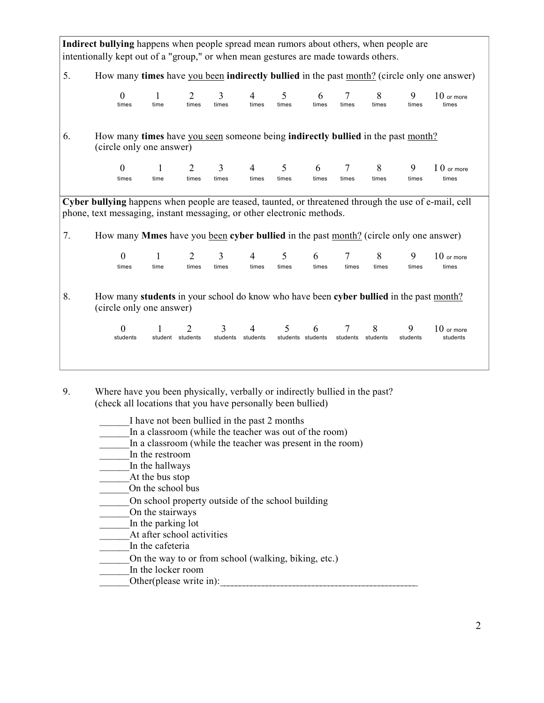| Indirect bullying happens when people spread mean rumors about others, when people are |                                                                                                                                                                                 |                      |                                |                        |                         |                        |            |               |               |               |                          |
|----------------------------------------------------------------------------------------|---------------------------------------------------------------------------------------------------------------------------------------------------------------------------------|----------------------|--------------------------------|------------------------|-------------------------|------------------------|------------|---------------|---------------|---------------|--------------------------|
|                                                                                        | intentionally kept out of a "group," or when mean gestures are made towards others.                                                                                             |                      |                                |                        |                         |                        |            |               |               |               |                          |
| 5.                                                                                     | How many times have you been indirectly bullied in the past month? (circle only one answer)                                                                                     |                      |                                |                        |                         |                        |            |               |               |               |                          |
|                                                                                        | $\Omega$<br>times                                                                                                                                                               | time                 | $\mathcal{D}_{\cdot}$<br>times | 3<br>times             | 4<br>times              | 5<br>times             | 6<br>times | times         | 8<br>times    | 9<br>times    | $10$ or more<br>times    |
| 6.                                                                                     | How many times have you seen someone being indirectly bullied in the past month?<br>(circle only one answer)                                                                    |                      |                                |                        |                         |                        |            |               |               |               |                          |
|                                                                                        | $\Omega$<br>times                                                                                                                                                               | time                 | 2<br>times                     | 3<br>times             | $\overline{4}$<br>times | 5<br>times             | 6<br>times | 7<br>times    | 8<br>times    | 9<br>times    | I 0 or more<br>times     |
|                                                                                        |                                                                                                                                                                                 |                      |                                |                        |                         |                        |            |               |               |               |                          |
|                                                                                        | Cyber bullying happens when people are teased, taunted, or threatened through the use of e-mail, cell<br>phone, text messaging, instant messaging, or other electronic methods. |                      |                                |                        |                         |                        |            |               |               |               |                          |
| 7.                                                                                     | How many Mmes have you been cyber bullied in the past month? (circle only one answer)                                                                                           |                      |                                |                        |                         |                        |            |               |               |               |                          |
|                                                                                        | $\Omega$<br>times                                                                                                                                                               | $\mathbf{1}$<br>time | 2<br>times                     | 3<br>times             | 4<br>times              | 5<br>times             | 6<br>times | 7<br>times    | 8<br>times    | 9<br>times    | $10$ or more<br>times    |
| 8.                                                                                     | How many students in your school do know who have been cyber bullied in the past month?<br>(circle only one answer)                                                             |                      |                                |                        |                         |                        |            |               |               |               |                          |
|                                                                                        | 0<br>students                                                                                                                                                                   | student students     | $\mathfrak{D}$                 | 3<br>students students | 4                       | 5<br>students students | 6          | 7<br>students | 8<br>students | 9<br>students | $10$ or more<br>students |
|                                                                                        |                                                                                                                                                                                 |                      |                                |                        |                         |                        |            |               |               |               |                          |

9. Where have you been physically, verbally or indirectly bullied in the past? (check all locations that you have personally been bullied)

I have not been bullied in the past 2 months In a classroom (while the teacher was out of the room) \_\_\_\_\_\_In a classroom (while the teacher was present in the room)  $\frac{1}{\sqrt{2}}$ In the restroom  $\frac{1}{\sqrt{2}}$  In the hallways At the bus stop \_\_\_\_\_\_On the school bus \_\_\_\_\_\_On school property outside of the school building \_\_\_\_\_\_On the stairways In the parking lot At after school activities In the cafeteria On the way to or from school (walking, biking, etc.) In the locker room \_\_\_\_\_\_Other(please write in):\_\_\_\_\_\_\_\_\_\_\_\_\_\_\_\_\_\_\_\_\_\_\_\_\_\_\_\_\_\_\_\_\_\_\_\_\_\_\_\_\_\_\_\_\_\_\_\_\_\_\_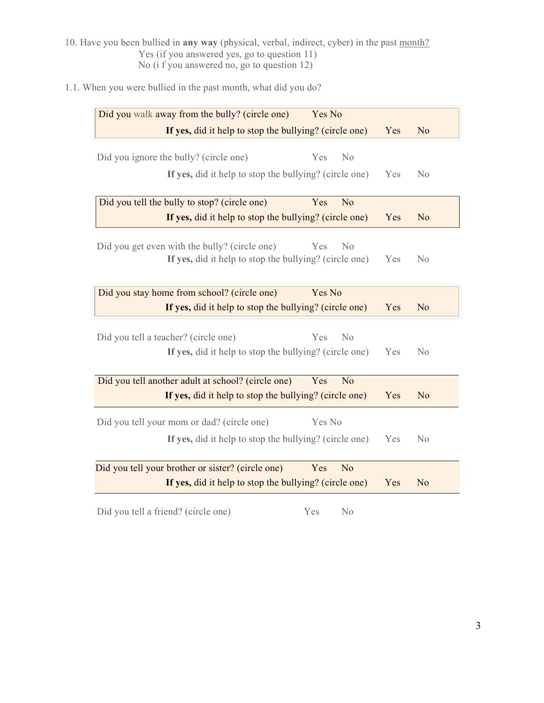10. Have you been bullied in **any way** (physical, verbal, indirect, cyber) in the past month? Yes (if you answered yes, go to question 11) No (i f you answered no, go to question 12)

1.1. When you were bullied in the past month, what did you do?

| Did you walk away from the bully? (circle one)<br>Yes No                                                             |     |                |
|----------------------------------------------------------------------------------------------------------------------|-----|----------------|
|                                                                                                                      |     |                |
| If yes, did it help to stop the bullying? (circle one)                                                               | Yes | N <sub>o</sub> |
| Did you ignore the bully? (circle one)<br>Yes<br>No                                                                  |     |                |
| If yes, did it help to stop the bullying? (circle one)                                                               | Yes | N <sub>0</sub> |
| Did you tell the bully to stop? (circle one)<br>Yes<br>N <sub>o</sub>                                                |     |                |
| If yes, did it help to stop the bullying? (circle one)                                                               | Yes | N <sub>o</sub> |
| Did you get even with the bully? (circle one)<br>Yes<br>No<br>If yes, did it help to stop the bullying? (circle one) | Yes | No             |
| Did you stay home from school? (circle one)<br>Yes No                                                                |     |                |
| If yes, did it help to stop the bullying? (circle one)                                                               | Yes | N <sub>o</sub> |
| Did you tell a teacher? (circle one)<br>Yes<br>No<br>If yes, did it help to stop the bullying? (circle one)          | Yes | N <sub>0</sub> |
| Did you tell another adult at school? (circle one)<br>Yes<br>N <sub>o</sub>                                          |     |                |
| If yes, did it help to stop the bullying? (circle one)                                                               | Yes | N <sub>o</sub> |
| Did you tell your mom or dad? (circle one)<br>Yes No                                                                 |     |                |
| If yes, did it help to stop the bullying? (circle one)                                                               | Yes | N <sub>0</sub> |
| Did you tell your brother or sister? (circle one)<br>N <sub>o</sub><br>Yes                                           |     |                |
| If yes, did it help to stop the bullying? (circle one)                                                               | Yes | N <sub>o</sub> |
|                                                                                                                      |     |                |

Did you tell a friend? (circle one) Yes No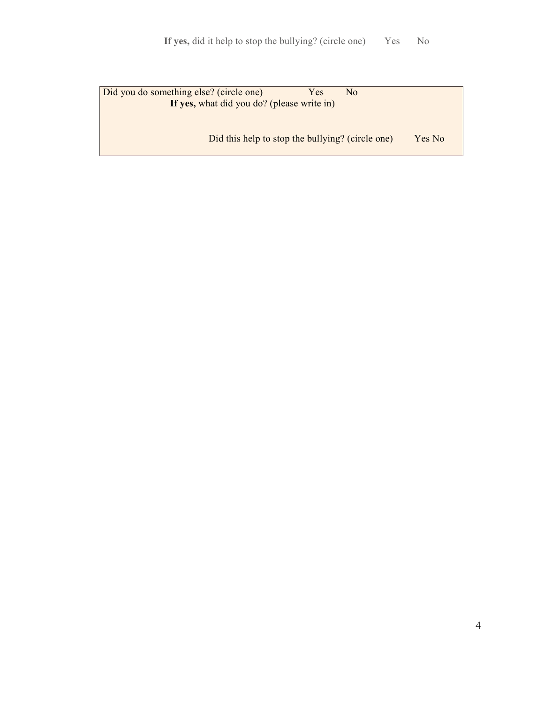| Did you do something else? (circle one)          | Yes. | No |        |
|--------------------------------------------------|------|----|--------|
| If yes, what did you do? (please write in)       |      |    |        |
|                                                  |      |    |        |
|                                                  |      |    |        |
| Did this help to stop the bullying? (circle one) |      |    | Yes No |
|                                                  |      |    |        |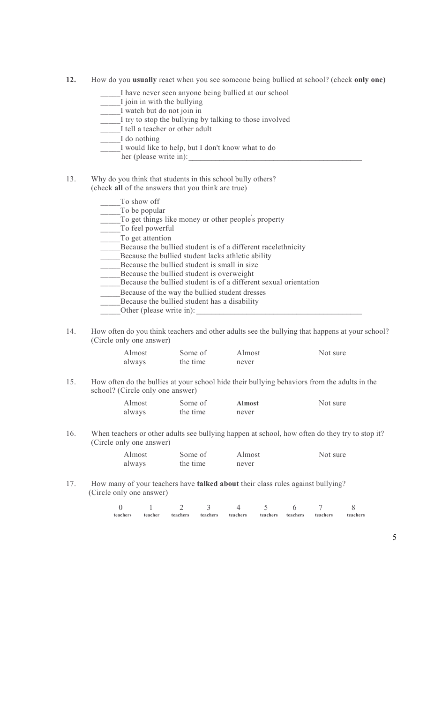- **12.** How do you **usually** react when you see someone being bullied at school? (check **only one)** 
	- \_\_\_\_\_I have never seen anyone being bullied at our school
	- \_\_\_\_\_I join in with the bullying
	- \_\_\_\_\_I watch but do not join in
	- I try to stop the bullying by talking to those involved
	- I tell a teacher or other adult
	- I do nothing
		- \_\_\_\_\_I would like to help, but I don't know what to do
		- her (please write in):
- 13. Why do you think that students in this school bully others? (check **all** of the answers that you think are true)

| To show off                                                      |
|------------------------------------------------------------------|
| To be popular                                                    |
| To get things like money or other people's property              |
| To feel powerful                                                 |
| To get attention                                                 |
| Because the bullied student is of a different racelethnicity     |
| Because the bullied student lacks athletic ability               |
| Because the bullied student is small in size                     |
| Because the bullied student is overweight                        |
| Because the bullied student is of a different sexual orientation |
| Because of the way the bullied student dresses                   |
| Because the bullied student has a disability                     |
| Other (please write in):                                         |

14. How often do you think teachers and other adults see the bullying that happens at your school? (Circle only one answer)

| Almost | Some of  | Almost | Not sure |
|--------|----------|--------|----------|
| always | the time | never  |          |

15. How often do the bullies at your school hide their bullying behaviors from the adults in the school? (Circle only one answer)

| Almost | Some of  | <b>Almost</b> | Not sure |
|--------|----------|---------------|----------|
| always | the time | never         |          |

16. When teachers or other adults see bullying happen at school, how often do they try to stop it? (Circle only one answer)

| Almost | Some of  | Almost | Not sure |
|--------|----------|--------|----------|
| always | the time | never  |          |

17. How many of your teachers have **talked about** their class rules against bullying? (Circle only one answer)

| teachers | teacher | teachers | teachers | teachers | teachers | teachers | teachers | teachers |
|----------|---------|----------|----------|----------|----------|----------|----------|----------|